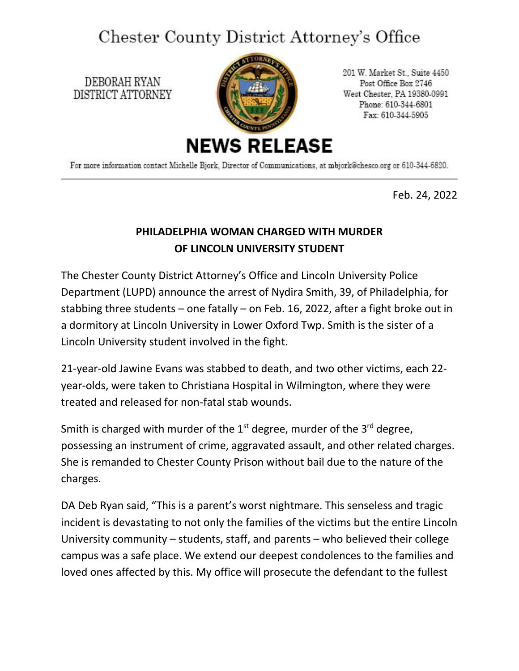## Chester County District Attorney's Office

DEBORAH RYAN DISTRICT ATTORNEY



201 W. Market St., Suite 4450 Post Office Box 2746 West Chester, PA 19380-0991 Phone: 610-344-6801 Fax: 610-344-5905

For more information contact Michelle Bjork, Director of Communications, at mbjork@chesco.org or 610-344-6820.

Feb. 24, 2022

## **PHILADELPHIA WOMAN CHARGED WITH MURDER OF LINCOLN UNIVERSITY STUDENT**

The Chester County District Attorney's Office and Lincoln University Police Department (LUPD) announce the arrest of Nydira Smith, 39, of Philadelphia, for stabbing three students – one fatally – on Feb. 16, 2022, after a fight broke out in a dormitory at Lincoln University in Lower Oxford Twp. Smith is the sister of a Lincoln University student involved in the fight.

21-year-old Jawine Evans was stabbed to death, and two other victims, each 22 year-olds, were taken to Christiana Hospital in Wilmington, where they were treated and released for non-fatal stab wounds.

Smith is charged with murder of the  $1<sup>st</sup>$  degree, murder of the  $3<sup>rd</sup>$  degree, possessing an instrument of crime, aggravated assault, and other related charges. She is remanded to Chester County Prison without bail due to the nature of the charges.

DA Deb Ryan said, "This is a parent's worst nightmare. This senseless and tragic incident is devastating to not only the families of the victims but the entire Lincoln University community – students, staff, and parents – who believed their college campus was a safe place. We extend our deepest condolences to the families and loved ones affected by this. My office will prosecute the defendant to the fullest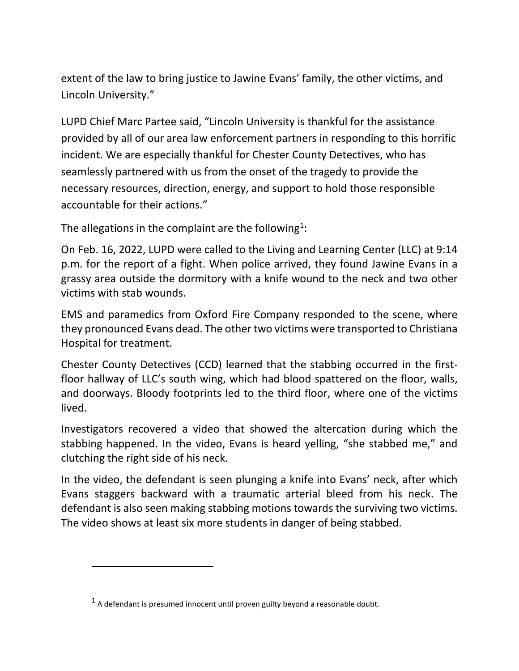extent of the law to bring justice to Jawine Evans' family, the other victims, and Lincoln University."

LUPD Chief Marc Partee said, "Lincoln University is thankful for the assistance provided by all of our area law enforcement partners in responding to this horrific incident. We are especially thankful for Chester County Detectives, who has seamlessly partnered with us from the onset of the tragedy to provide the necessary resources, direction, energy, and support to hold those responsible accountable for their actions."

The allegations in the complaint are the following<sup>[1](#page-1-0)</sup>:

On Feb. 16, 2022, LUPD were called to the Living and Learning Center (LLC) at 9:14 p.m. for the report of a fight. When police arrived, they found Jawine Evans in a grassy area outside the dormitory with a knife wound to the neck and two other victims with stab wounds.

EMS and paramedics from Oxford Fire Company responded to the scene, where they pronounced Evans dead. The other two victims were transported to Christiana Hospital for treatment.

Chester County Detectives (CCD) learned that the stabbing occurred in the firstfloor hallway of LLC's south wing, which had blood spattered on the floor, walls, and doorways. Bloody footprints led to the third floor, where one of the victims lived.

Investigators recovered a video that showed the altercation during which the stabbing happened. In the video, Evans is heard yelling, "she stabbed me," and clutching the right side of his neck.

In the video, the defendant is seen plunging a knife into Evans' neck, after which Evans staggers backward with a traumatic arterial bleed from his neck. The defendant is also seen making stabbing motions towards the surviving two victims. The video shows at least six more students in danger of being stabbed.

<span id="page-1-0"></span> $<sup>1</sup>$  A defendant is presumed innocent until proven guilty beyond a reasonable doubt.</sup>